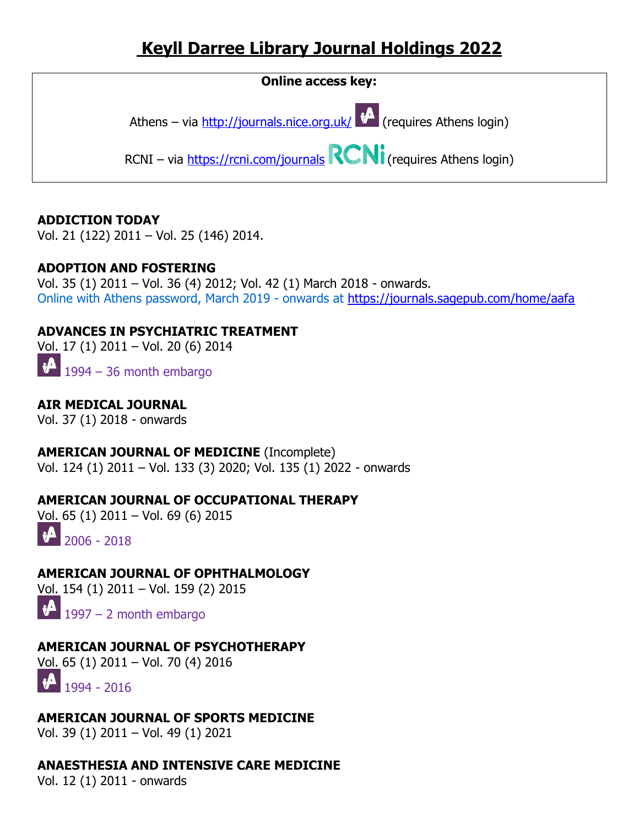# **Keyll Darree Library Journal Holdings 2022**



#### **ADDICTION TODAY**

Vol. 21 (122) 2011 – Vol. 25 (146) 2014.

#### **ADOPTION AND FOSTERING**

Vol. 35 (1) 2011 – Vol. 36 (4) 2012; Vol. 42 (1) March 2018 - onwards. Online with Athens password, March 2019 - onwards at<https://journals.sagepub.com/home/aafa>

### **ADVANCES IN PSYCHIATRIC TREATMENT**

Vol. 17 (1) 2011 – Vol. 20 (6) 2014

 $\mathbf{\psi}$ 1994 – 36 month embargo

**AIR MEDICAL JOURNAL** Vol. 37 (1) 2018 - onwards

**AMERICAN JOURNAL OF MEDICINE** (Incomplete) Vol. 124 (1) 2011 – Vol. 133 (3) 2020; Vol. 135 (1) 2022 - onwards

### **AMERICAN JOURNAL OF OCCUPATIONAL THERAPY**

Vol. 65 (1) 2011 – Vol. 69 (6) 2015

 $\bigoplus_{2006 - 2018}$ 

### **AMERICAN JOURNAL OF OPHTHALMOLOGY**

Vol. 154 (1) 2011 – Vol. 159 (2) 2015

 $\mathbf{A}$ 1997 – 2 month embargo

### **AMERICAN JOURNAL OF PSYCHOTHERAPY**

Vol. 65 (1) 2011 – Vol. 70 (4) 2016



### **AMERICAN JOURNAL OF SPORTS MEDICINE**

Vol. 39 (1) 2011 – Vol. 49 (1) 2021

### **ANAESTHESIA AND INTENSIVE CARE MEDICINE**

Vol. 12 (1) 2011 - onwards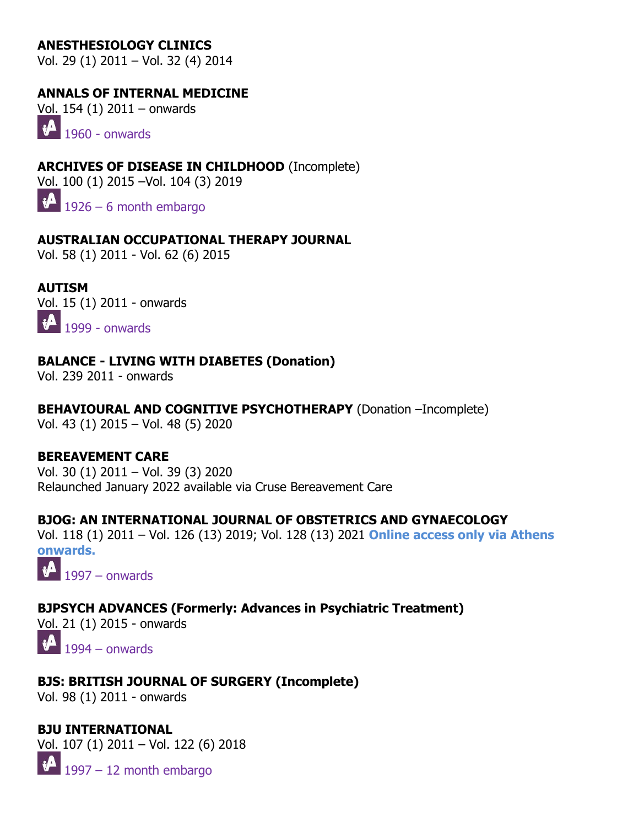### **ANESTHESIOLOGY CLINICS**

Vol. 29 (1) 2011 – Vol. 32 (4) 2014

### **ANNALS OF INTERNAL MEDICINE**

Vol. 154 (1) 2011 – onwards

 $\mathbf{v}$ 1960 - onwards

**ARCHIVES OF DISEASE IN CHILDHOOD** (Incomplete) Vol. 100 (1) 2015 –Vol. 104 (3) 2019

 $1926 - 6$  month embargo

### **AUSTRALIAN OCCUPATIONAL THERAPY JOURNAL**

Vol. 58 (1) 2011 - Vol. 62 (6) 2015

**AUTISM** Vol. 15 (1) 2011 - onwards  $\mathbf{1}$  1999 - onwards

### **BALANCE - LIVING WITH DIABETES (Donation)**

Vol. 239 2011 - onwards

### **BEHAVIOURAL AND COGNITIVE PSYCHOTHERAPY** (Donation –Incomplete)

Vol. 43 (1) 2015 – Vol. 48 (5) 2020

### **BEREAVEMENT CARE**

Vol. 30 (1) 2011 – Vol. 39 (3) 2020 Relaunched January 2022 available via Cruse Bereavement Care

### **BJOG: AN INTERNATIONAL JOURNAL OF OBSTETRICS AND GYNAECOLOGY**

Vol. 118 (1) 2011 – Vol. 126 (13) 2019; Vol. 128 (13) 2021 **Online access only via Athens onwards.**

 $\mathbf{A}$ 1997 – onwards

**BJPSYCH ADVANCES (Formerly: Advances in Psychiatric Treatment)** Vol. 21 (1) 2015 - onwards

 $\sqrt[4]{1994}$  – onwards

### **BJS: BRITISH JOURNAL OF SURGERY (Incomplete)**

Vol. 98 (1) 2011 - onwards

**BJU INTERNATIONAL**  Vol. 107 (1) 2011 – Vol. 122 (6) 2018  $\mathbf{v}$ 1997 – 12 month embargo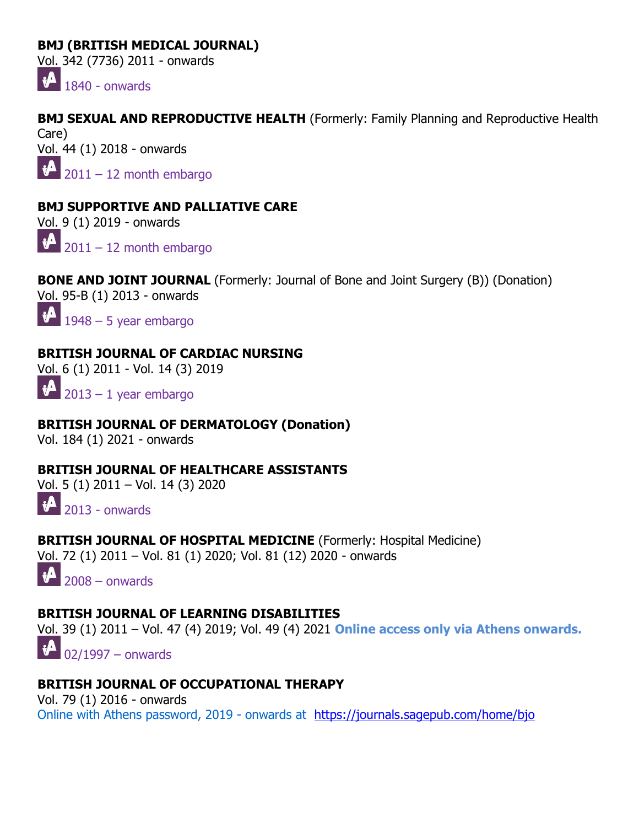### **BMJ (BRITISH MEDICAL JOURNAL)**

Vol. 342 (7736) 2011 - onwards

 $\sqrt[4]{1840}$  - onwards

**BMJ SEXUAL AND REPRODUCTIVE HEALTH** (Formerly: Family Planning and Reproductive Health Care) Vol. 44 (1) 2018 - onwards  $\sqrt[4]{2011} - 12$  month embargo

### **BMJ SUPPORTIVE AND PALLIATIVE CARE**

Vol. 9 (1) 2019 - onwards

 $\sqrt[4]{2011} - 12$  month embargo

**BONE AND JOINT JOURNAL** (Formerly: Journal of Bone and Joint Surgery (B)) (Donation) Vol. 95-B (1) 2013 - onwards

 $\mathbf{v}$  $1948 - 5$  year embargo

### **BRITISH JOURNAL OF CARDIAC NURSING**

Vol. 6 (1) 2011 - Vol. 14 (3) 2019

 $\mathbf{v}$  $2013 - 1$  year embargo

#### **BRITISH JOURNAL OF DERMATOLOGY (Donation)** Vol. 184 (1) 2021 - onwards

**BRITISH JOURNAL OF HEALTHCARE ASSISTANTS** Vol. 5 (1) 2011 – Vol. 14 (3) 2020



**BRITISH JOURNAL OF HOSPITAL MEDICINE** (Formerly: Hospital Medicine) Vol. 72 (1) 2011 – Vol. 81 (1) 2020; Vol. 81 (12) 2020 - onwards

 $\mathbf{A}$ 2008 – onwards

### **BRITISH JOURNAL OF LEARNING DISABILITIES**

Vol. 39 (1) 2011 – Vol. 47 (4) 2019; Vol. 49 (4) 2021 **Online access only via Athens onwards.**

 $\mathbf{v}$  $\log_{1997}$  – onwards

### **BRITISH JOURNAL OF OCCUPATIONAL THERAPY**

Vol. 79 (1) 2016 - onwards Online with Athens password, 2019 - onwards at <https://journals.sagepub.com/home/bjo>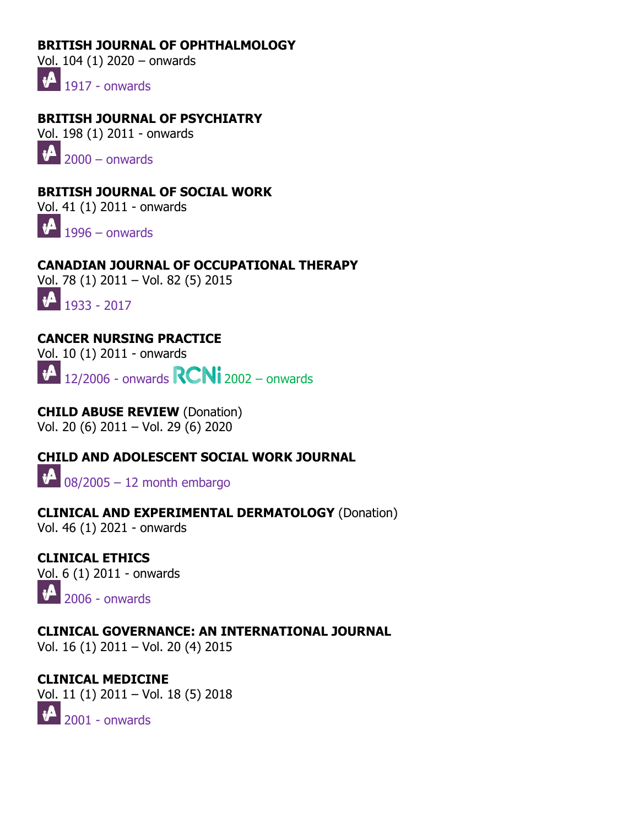### **BRITISH JOURNAL OF OPHTHALMOLOGY**

Vol. 104 (1) 2020 – onwards

 $\mathbf{1}$  1917 - onwards

**BRITISH JOURNAL OF PSYCHIATRY** Vol. 198 (1) 2011 - onwards

 $\sqrt[4]{2000}$  – onwards

**BRITISH JOURNAL OF SOCIAL WORK** Vol. 41 (1) 2011 - onwards

 $\mathbf{1} \cdot \mathbf{1}$  1996 – onwards

**CANADIAN JOURNAL OF OCCUPATIONAL THERAPY** Vol. 78 (1) 2011 – Vol. 82 (5) 2015

 $\bigoplus_{1933}$  - 2017

### **CANCER NURSING PRACTICE**

Vol. 10 (1) 2011 - onwards

 $\mathbf{A}$  $\vert$  12/2006 - onwards  $\vert \mathbf{R} \mathbf{C} \mathbf{N} \mathbf{i} \vert$  2002 – onwards

**CHILD ABUSE REVIEW** (Donation) Vol. 20 (6) 2011 – Vol. 29 (6) 2020

**CHILD AND ADOLESCENT SOCIAL WORK JOURNAL**  $\bigoplus$  08/2005 – 12 month embargo

# **CLINICAL AND EXPERIMENTAL DERMATOLOGY** (Donation)

Vol. 46 (1) 2021 - onwards

**CLINICAL ETHICS**  Vol. 6 (1) 2011 - onwards  $\mathbf{H}$ 2006 - onwards

**CLINICAL GOVERNANCE: AN INTERNATIONAL JOURNAL** Vol. 16 (1) 2011 – Vol. 20 (4) 2015

**CLINICAL MEDICINE** Vol. 11 (1) 2011 – Vol. 18 (5) 2018  $\bigoplus$  2001 - onwards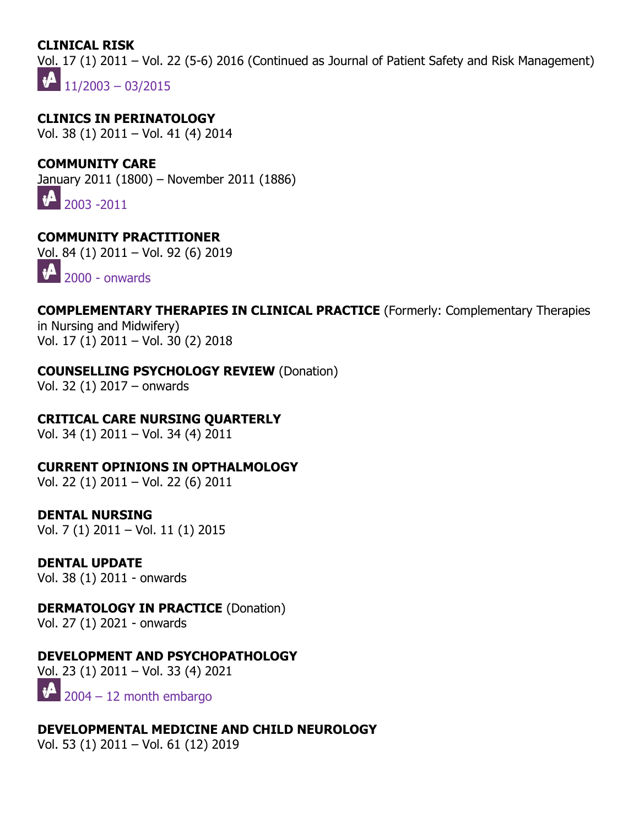### **CLINICAL RISK**

Vol. 17 (1) 2011 – Vol. 22 (5-6) 2016 (Continued as Journal of Patient Safety and Risk Management)  $\boldsymbol{\psi}$  $11/2003 - 03/2015$ 

**CLINICS IN PERINATOLOGY** Vol. 38 (1) 2011 – Vol. 41 (4) 2014

### **COMMUNITY CARE**

January 2011 (1800) – November 2011 (1886)

 $\mathbf{A}$ 2003 -2011

### **COMMUNITY PRACTITIONER**

Vol. 84 (1) 2011 – Vol. 92 (6) 2019



### **COMPLEMENTARY THERAPIES IN CLINICAL PRACTICE** (Formerly: Complementary Therapies

in Nursing and Midwifery) Vol. 17 (1) 2011 – Vol. 30 (2) 2018

### **COUNSELLING PSYCHOLOGY REVIEW** (Donation)

Vol. 32 (1) 2017 – onwards

### **CRITICAL CARE NURSING QUARTERLY**

Vol. 34 (1) 2011 – Vol. 34 (4) 2011

**CURRENT OPINIONS IN OPTHALMOLOGY**

Vol. 22 (1) 2011 – Vol. 22 (6) 2011

### **DENTAL NURSING**

Vol. 7 (1) 2011 – Vol. 11 (1) 2015

### **DENTAL UPDATE**

Vol. 38 (1) 2011 - onwards

### **DERMATOLOGY IN PRACTICE (Donation)**

Vol. 27 (1) 2021 - onwards

### **DEVELOPMENT AND PSYCHOPATHOLOGY**

Vol. 23 (1) 2011 – Vol. 33 (4) 2021  $\mathbf{v}$ 2004 – 12 month embargo

**DEVELOPMENTAL MEDICINE AND CHILD NEUROLOGY**  Vol. 53 (1) 2011 – Vol. 61 (12) 2019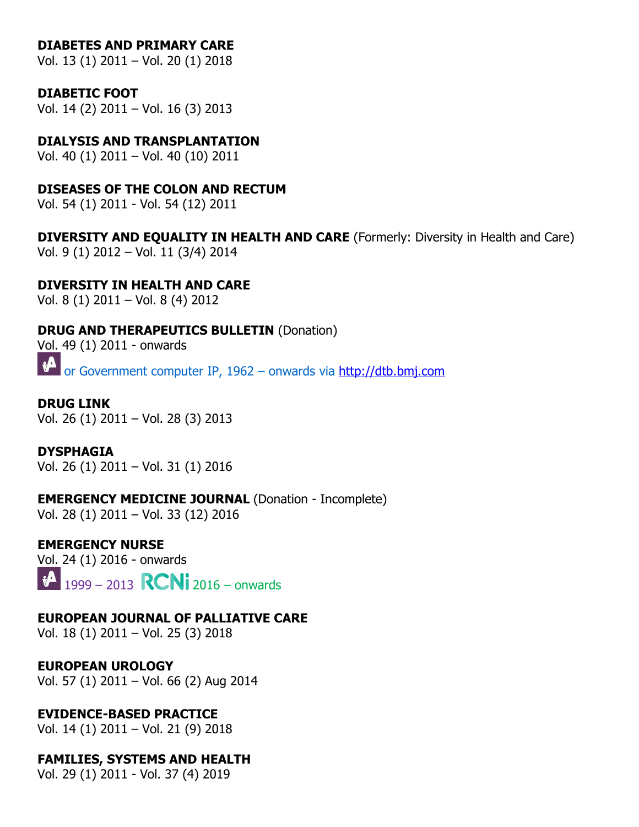#### **DIABETES AND PRIMARY CARE**

Vol. 13 (1) 2011 – Vol. 20 (1) 2018

#### **DIABETIC FOOT**

Vol. 14 (2) 2011 – Vol. 16 (3) 2013

#### **DIALYSIS AND TRANSPLANTATION**

Vol. 40 (1) 2011 – Vol. 40 (10) 2011

### **DISEASES OF THE COLON AND RECTUM**

Vol. 54 (1) 2011 - Vol. 54 (12) 2011

**DIVERSITY AND EQUALITY IN HEALTH AND CARE** (Formerly: Diversity in Health and Care) Vol. 9 (1) 2012 – Vol. 11 (3/4) 2014

### **DIVERSITY IN HEALTH AND CARE**

Vol. 8 (1) 2011 – Vol. 8 (4) 2012

# **DRUG AND THERAPEUTICS BULLETIN** (Donation)

Vol. 49 (1) 2011 - onwards

 $\boldsymbol{\psi}$ or Government computer IP, 1962 – onwards via [http://dtb.bmj.com](http://dtb.bmj.com/)

#### **DRUG LINK** Vol. 26 (1) 2011 – Vol. 28 (3) 2013

**DYSPHAGIA** Vol. 26 (1) 2011 – Vol. 31 (1) 2016

#### **EMERGENCY MEDICINE JOURNAL** (Donation - Incomplete) Vol. 28 (1) 2011 – Vol. 33 (12) 2016

**EMERGENCY NURSE**

Vol. 24 (1) 2016 - onwards  $\mathbf{v}$  $\big|_{1999}$  – 2013 **RCNi** 2016 – onwards

### **EUROPEAN JOURNAL OF PALLIATIVE CARE**

Vol. 18 (1) 2011 – Vol. 25 (3) 2018

### **EUROPEAN UROLOGY**

Vol. 57 (1) 2011 – Vol. 66 (2) Aug 2014

### **EVIDENCE-BASED PRACTICE**

Vol. 14 (1) 2011 – Vol. 21 (9) 2018

### **FAMILIES, SYSTEMS AND HEALTH**

Vol. 29 (1) 2011 - Vol. 37 (4) 2019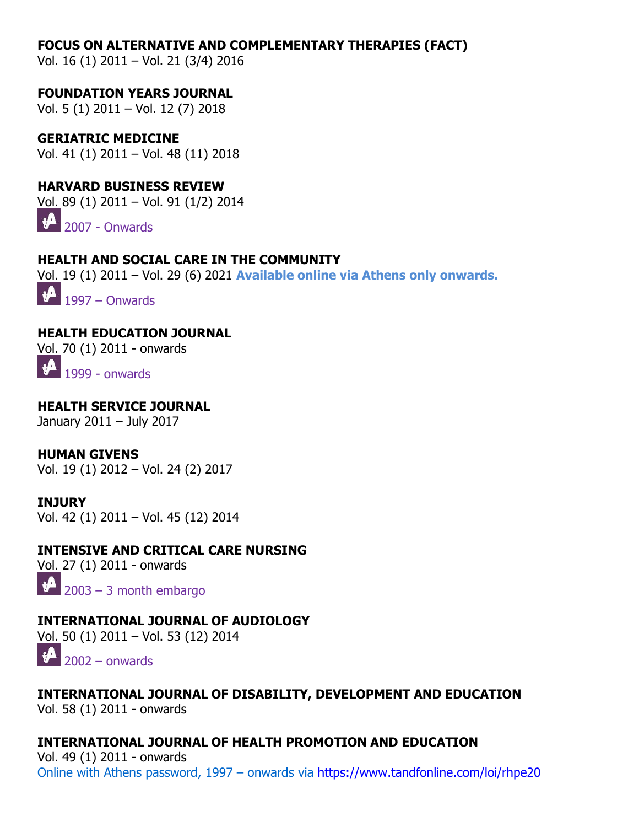#### **FOCUS ON ALTERNATIVE AND COMPLEMENTARY THERAPIES (FACT)**

Vol. 16 (1) 2011 – Vol. 21 (3/4) 2016

**FOUNDATION YEARS JOURNAL** Vol. 5 (1) 2011 – Vol. 12 (7) 2018

**GERIATRIC MEDICINE** Vol. 41 (1) 2011 – Vol. 48 (11) 2018

**HARVARD BUSINESS REVIEW** Vol. 89 (1) 2011 – Vol. 91 (1/2) 2014

 $\bigoplus$  2007 - Onwards

**HEALTH AND SOCIAL CARE IN THE COMMUNITY** Vol. 19 (1) 2011 – Vol. 29 (6) 2021 **Available online via Athens only onwards.**  $\mathbf{v}$ 

1997 – Onwards

**HEALTH EDUCATION JOURNAL**

[Vol. 7](http://journals.nice.org.uk/)0 (1) 2011 - onwards

 $\bigoplus$  1999 - onwards

**HEALTH SERVICE JOURNAL** January 2011 – July 2017

**HUMAN GIVENS** Vol. 19 (1) 2012 – Vol. 24 (2) 2017

**INJURY** Vol. 42 (1) 2011 – Vol. 45 (12) 2014

**INTENSIVE AND CRITICAL CARE NURSING** 

Vol. 27 (1) 2011 - onwards  $\sqrt{2003}$  – 3 month embargo

**INTERNATIONAL JOURNAL OF AUDIOLOGY** Vol. 50 (1) 2011 – Vol. 53 (12) 2014  $\sqrt{2002}$  – onwards

**INTERNATIONAL JOURNAL OF DISABILITY, DEVELOPMENT AND EDUCATION** Vol. 58 (1) 2011 - onwards

**INTERNATIONAL JOURNAL OF HEALTH PROMOTION AND EDUCATION** Vol. 49 (1) 2011 - onwards

Online with Athens password, 1997 – onwards via<https://www.tandfonline.com/loi/rhpe20>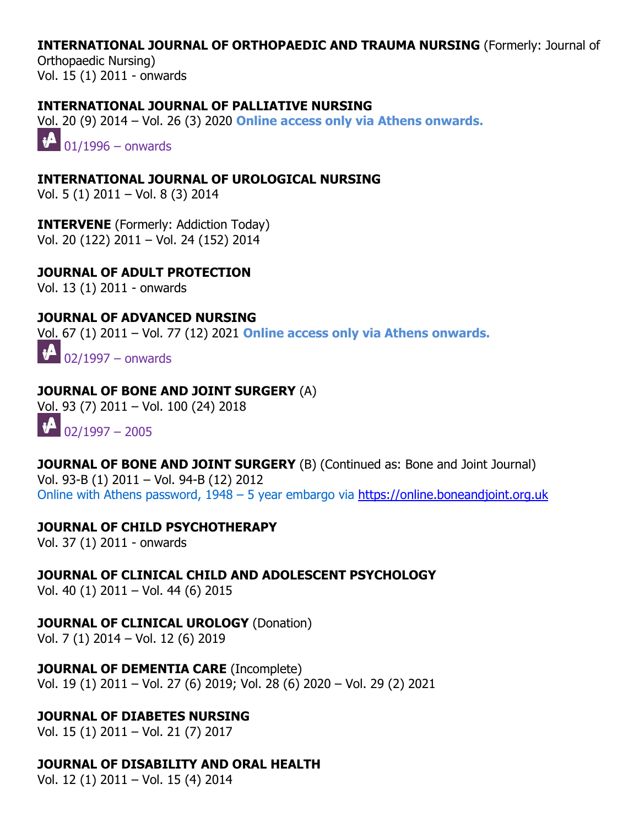#### **INTERNATIONAL JOURNAL OF ORTHOPAEDIC AND TRAUMA NURSING** (Formerly: Journal of

Orthopaedic Nursing) Vol. 15 (1) 2011 - onwards

#### **INTERNATIONAL JOURNAL OF PALLIATIVE NURSING**

Vol. 20 (9) 2014 – Vol. 26 (3) 2020 **Online access only via Athens onwards.**

 $\sqrt[4]{01/1996}$  – onwards

**INTERNATIONAL JOURNAL OF UROLOGICAL NURSING** Vol. 5 (1) 2011 – Vol. 8 (3) 2014

**INTERVENE** (Formerly: Addiction Today) Vol. 20 (122) 2011 – Vol. 24 (152) 2014

**JOURNAL OF ADULT PROTECTION**

Vol. 13 (1) 2011 - onwards

#### **JOURNAL OF ADVANCED NURSING**

Vol. 67 (1) 2011 – Vol. 77 (12) 2021 **Online access only via Athens onwards.**

02/1997 – onwards

#### **JOURNAL OF BONE AND JOINT SURGERY** (A)

Vol. 93 (7) 2011 – Vol. 100 (24) 2018

 $\bigoplus_{02/1997}$  – 2005

**JOURNAL OF BONE AND JOINT SURGERY** (B) (Continued as: Bone and Joint Journal) Vol. 93-B (1) 2011 – Vol. 94-B (12) 2012 Online with Athens password, 1948 – 5 year embargo via [https://online.boneandjoint.org.uk](https://online.boneandjoint.org.uk/)

#### **JOURNAL OF CHILD PSYCHOTHERAPY**

Vol. 37 (1) 2011 - onwards

**JOURNAL OF CLINICAL CHILD AND ADOLESCENT PSYCHOLOGY**

Vol. 40 (1) 2011 – Vol. 44 (6) 2015

**JOURNAL OF CLINICAL UROLOGY** (Donation)

Vol. 7 (1) 2014 – Vol. 12 (6) 2019

**JOURNAL OF DEMENTIA CARE** (Incomplete) Vol. 19 (1) 2011 – Vol. 27 (6) 2019; Vol. 28 (6) 2020 – Vol. 29 (2) 2021

### **JOURNAL OF DIABETES NURSING**

Vol. 15 (1) 2011 – Vol. 21 (7) 2017

### **JOURNAL OF DISABILITY AND ORAL HEALTH**

Vol. 12 (1) 2011 – Vol. 15 (4) 2014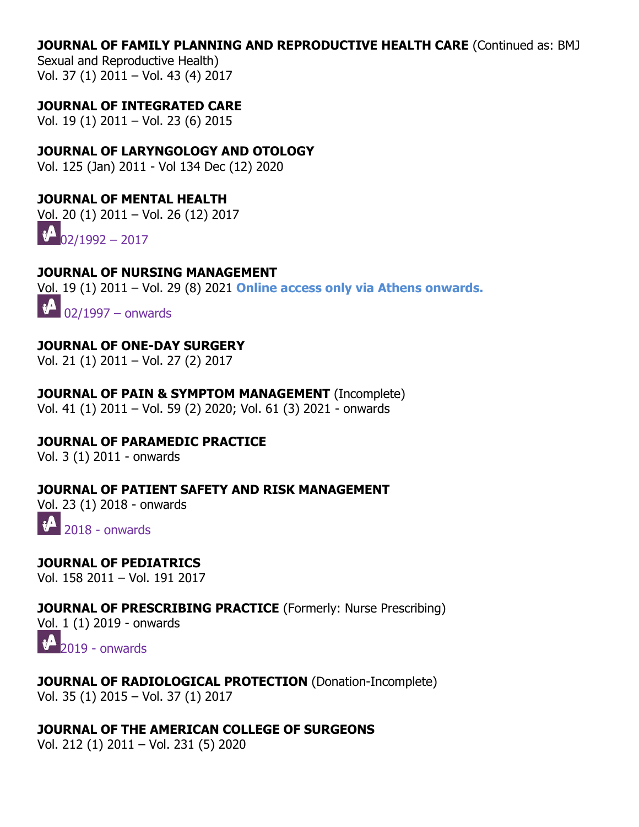#### **JOURNAL OF FAMILY PLANNING AND REPRODUCTIVE HEALTH CARE** (Continued as: BMJ

Sexual and Reproductive Health) Vol. 37 (1) 2011 – Vol. 43 (4) 2017

#### **JOURNAL OF INTEGRATED CARE**

Vol. 19 (1) 2011 – Vol. 23 (6) 2015

### **JOURNAL OF LARYNGOLOGY AND OTOLOGY**

Vol. 125 (Jan) 2011 - Vol 134 Dec (12) 2020

#### **JOURNAL OF MENTAL HEALTH**

Vol. 20 (1) 2011 – Vol. 26 (12) 2017

 $\mathbf{P}_{02/1992}$  $\mathbf{P}_{02/1992}$  $\mathbf{P}_{02/1992}$  – 2017

#### **JOURNAL OF NURSING MANAGEMENT**

Vol. 19 (1) 2011 – Vol. 29 (8) 2021 **Online access only via Athens onwards.**

 $\mathbf{v}^{\mathbf{A}}$ 02/1997 – onwards

### **JOURNAL OF ONE-DAY SURGERY**

Vol. 21 (1) 2011 – Vol. 27 (2) 2017

### **JOURNAL OF PAIN & SYMPTOM MANAGEMENT** (Incomplete)

Vol. 41 (1) 2011 – Vol. 59 (2) 2020; Vol. 61 (3) 2021 - onwards

# **JOURNAL OF PARAMEDIC PRACTICE**

Vol. 3 (1) 2011 - onwards

#### **JOURNAL OF PATIENT SAFETY AND RISK MANAGEMENT**

Vol. 23 (1) 2018 - onwards

 $\mathbf{v}$ 2018 - onwards

# **JOURNAL OF PEDIATRICS**

Vol. 158 2011 – Vol. 191 2017

#### **JOURNAL OF PRESCRIBING PRACTICE** (Formerly: Nurse Prescribing)

Vol. 1 (1) 2019 - onwards

 $\sqrt[4]{2019}$  $\sqrt[4]{2019}$  $\sqrt[4]{2019}$  - onwards

#### **JOURNAL OF RADIOLOGICAL PROTECTION** (Donation-Incomplete) Vol. 35 (1) 2015 – Vol. 37 (1) 2017

#### **JOURNAL OF THE AMERICAN COLLEGE OF SURGEONS** Vol. 212 (1) 2011 – Vol. 231 (5) 2020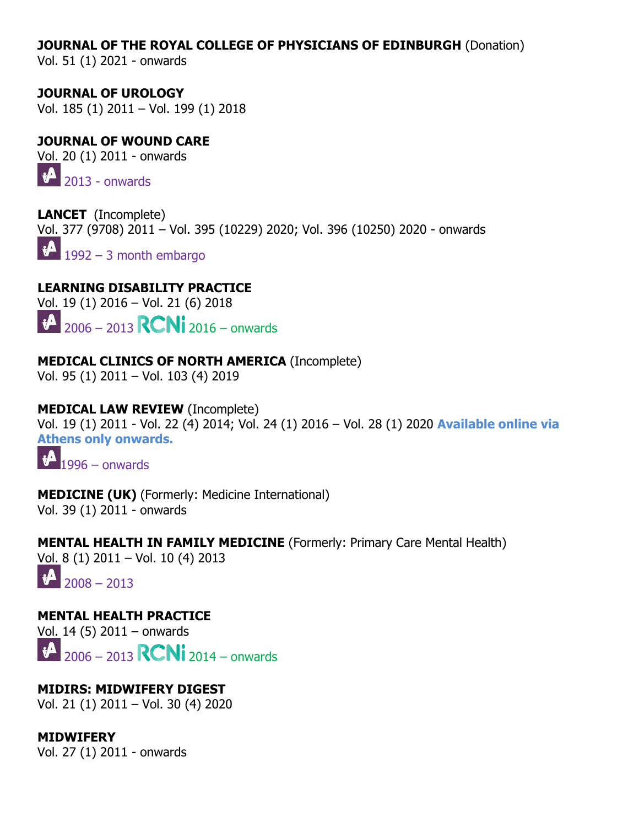#### **JOURNAL OF THE ROYAL COLLEGE OF PHYSICIANS OF EDINBURGH** (Donation)

Vol. 51 (1) 2021 - onwards

**JOURNAL OF UROLOGY**  Vol. 185 (1) 2011 – Vol. 199 (1) 2018

### **JOURNAL OF WOUND CARE**

Vol. 20 (1) 2011 - onwards

 $\mathbf{P}$  2013 - onwards

**LANCET** (Incomplete) Vol. 377 (9708) 2011 – Vol. 395 (10229) 2020; Vol. 396 (10250) 2020 - onwards  $\boldsymbol{\psi}$ 1992 – 3 month embargo

**LEARNING DISABILITY PRACTICE**

Vol. 19 (1) 2016 – Vol. 21 (6) 2018

 $10^{-12}$  2006 – 2013 **RCNi** 2016 – onwards

### **MEDICAL CLINICS OF NORTH AMERICA** (Incomplete)

Vol. 95 (1) 2011 – Vol. 103 (4) 2019

### **MEDICAL LAW REVIEW** (Incomplete)

Vol. 19 (1) 2011 - Vol. 22 (4) 2014; Vol. 24 (1) 2016 – Vol. 28 (1) 2020 **Available online via Athens only onwards.**

 $\mathbf{v}$ [1](http://journals.nice.org.uk/)996 – onwards

**MEDICINE (UK)** (Formerly: Medicine International) Vol. 39 (1) 2011 - onwards

**MENTAL HEALTH IN FAMILY MEDICINE** (Formerly: Primary Care Mental Health) Vol. 8 (1) 2011 – Vol. 10 (4) 2013

 $\sqrt[3]{2008} - 2013$ 

**MENTAL HEALTH PRACTICE**  Vol. 14 (5) 2011 – onwards

 $|\mathbf{A}|$ 2006 – 2013 **RCNi** 2014 – onwards

**MIDIRS: MIDWIFERY DIGEST** Vol. 21 (1) 2011 – Vol. 30 (4) 2020

**MIDWIFERY** Vol. 27 (1) 2011 - onwards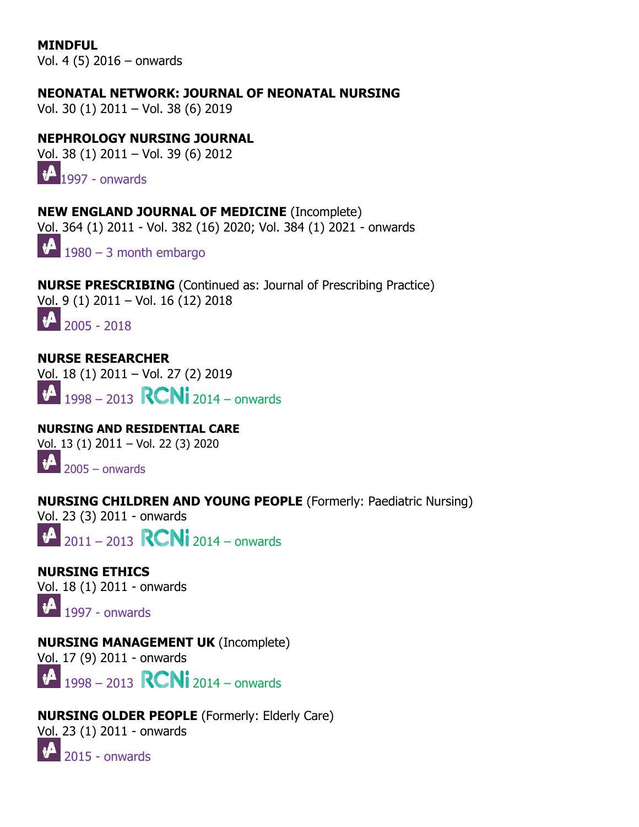**MINDFUL** Vol. 4 (5) 2016 – onwards

**NEONATAL NETWORK: JOURNAL OF NEONATAL NURSING**

Vol. 30 (1) 2011 – Vol. 38 (6) 2019

### **NEPHROLOGY NURSING JOURNAL**

Vol. 38 (1) 2011 – Vol. 39 (6) 2012

 $\mathbf{1}$  $\mathbf{1}$  $\mathbf{1}$  1997 - onwards

**NEW ENGLAND JOURNAL OF MEDICINE** (Incomplete) Vol. 364 (1) 2011 - Vol. 382 (16) 2020; Vol. 384 (1) 2021 - onwards

 $\sqrt[4]{1980}$  – 3 month embargo

**NURSE PRESCRIBING** (Continued as: Journal of Prescribing Practice) Vol. 9 (1) 2011 – Vol. 16 (12) 2018  $\mathbf{P}$  2005 - 2018

**NURSE RESEARCHER** Vol. 18 (1) 2011 – Vol. 27 (2) 2019  $1998 - 2013$  **RCNi** 2014 – onwards  $\mathbf{v}$ 

**NURSING AND RESIDENTIAL CARE** Vol. 13 (1) 2011 – Vol. 22 (3) 2020  $\bigotimes$  2005 – onwards

**NURSING CHILDREN AND YOUNG PEOPLE** (Formerly: Paediatric Nursing)

Vol. 23 (3) 2011 - onwards

 $\mathbf{A}$  $\big|_{2011}$  – 2013 **RCNi** 2014 – onwards

**NURSING ETHICS** Vol. 18 (1) 2011 - onwards

 $\mathbf{1}$  1997 - onwards

**NURSING MANAGEMENT UK** (Incomplete)

Vol. 17 (9) 2011 - onwards

 $1998 - 2013$  **RCNi** 2014 – onwards

**NURSING OLDER PEOPLE** (Formerly: Elderly Care) Vol. 23 (1) 2011 - onwards  $\mathbf{A}$ 2015 - onwards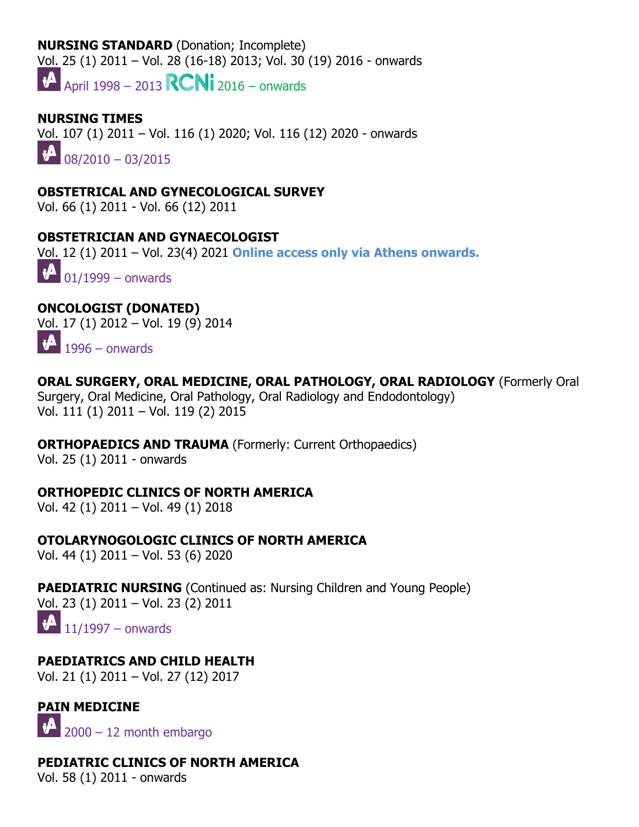#### **NURSING STANDARD** (Donation; Incomplete)

Vol. 25 (1) 2011 – Vol. 28 (16-18) 2013; Vol. 30 (19) 2016 - onwards

 $\mathbf{R}$  April 1998 – 2013  $\mathbf{R}$  2016 – onwards

# **NURSING TIMES** Vol. 107 (1) 2011 – Vol. 116 (1) 2020; Vol. 116 (12) 2020 - onwards  $08/2010 - 03/2015$

### **OBSTETRICAL AND GYNECOLOGICAL SURVEY**

Vol. 66 (1) 2011 - Vol. 66 (12) 2011

### **OBSTETRICIAN AND GYNAECOLOGIST**

Vol. 12 (1) 2011 – Vol. 23(4) 2021 **Online access only via Athens onwards.**

 $\sqrt{101/1999}$  – onwards

# **ONCOLOGIST (DONATED)**

[Vol.](http://journals.nice.org.uk/) [1](http://journals.nice.org.uk/)7 (1) 2012 – Vol. 19 (9) 2014  $\mathbf{1}$  1996 – onwards

### **ORAL SURGERY, ORAL MEDICINE, ORAL PATHOLOGY, ORAL RADIOLOGY** (Formerly Oral

Surgery, Oral Medicine, Oral Pathology, Oral Radiology and Endodontology) Vol. 111 (1) 2011 – Vol. 119 (2) 2015

### **ORTHOPAEDICS AND TRAUMA** (Formerly: Current Orthopaedics)

Vol. 25 (1) 2011 - onwards

### **ORTHOPEDIC CLINICS OF NORTH AMERICA**

Vol. 42 (1) 2011 – Vol. 49 (1) 2018

#### **OTOLARYNOGOLOGIC CLINICS OF NORTH AMERICA** Vol. 44 (1) 2011 – Vol. 53 (6) 2020

**PAEDIATRIC NURSING** (Continued as: Nursing Children and Young People) Vol. 23 (1) 2011 – Vol. 23 (2) 2011  $\bigoplus_{11/1997}$  – onwards

### **PAEDIATRICS AND CHILD HEALTH**

Vol. 21 (1) 2011 – Vol. 27 (12) 2017

### **PAIN MEDICINE**

2000 – 12 month embargo

### **PEDIATRIC CLINICS OF NORTH AMERICA**

Vol. 58 (1) 2011 - onwards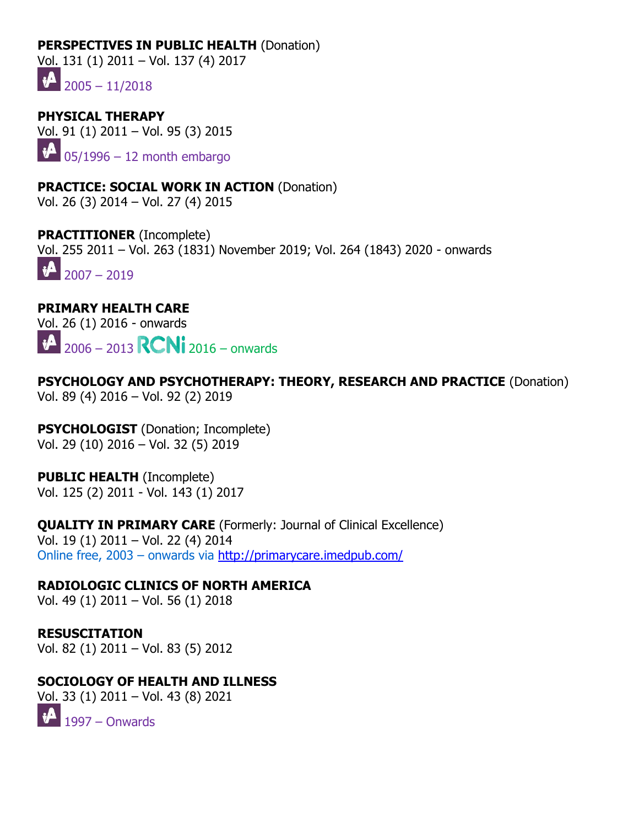#### **PERSPECTIVES IN PUBLIC HEALTH (Donation)**

Vol. 131 (1) 2011 – Vol. 137 (4) 2017

 $1 - 2005 - 11/2018$ 

**PHYSICAL THERAPY**  Vol. 91 (1) 2011 – Vol. 95 (3) 2015  $\mathbf{v}$  $05/1996 - 12$  month embargo

**PRACTICE: SOCIAL WORK IN ACTION** (Donation) Vol. 26 (3) 2014 – Vol. 27 (4) 2015

**PRACTITIONER** (Incomplete) Vol. 255 2011 – Vol. 263 (1831) November 2019; Vol. 264 (1843) 2020 - onwards  $\sqrt{2007} - 2019$ 

### **PRIMARY HEALTH CARE**

[Vol. 2](http://journals.nice.org.uk/)6 (1) 2016 - [onwards](https://rcni.com/journals)  $\sqrt[3]{2006} - 2013$  **RCNi** 2016 – onwards

**PSYCHOLOGY AND PSYCHOTHERAPY: THEORY, RESEARCH AND PRACTICE** (Donation) Vol. 89 (4) 2016 – Vol. 92 (2) 2019

**PSYCHOLOGIST** (Donation; Incomplete) Vol. 29 (10) 2016 – Vol. 32 (5) 2019

**PUBLIC HEALTH** (Incomplete) Vol. 125 (2) 2011 - Vol. 143 (1) 2017

**QUALITY IN PRIMARY CARE** (Formerly: Journal of Clinical Excellence) Vol. 19 (1) 2011 – Vol. 22 (4) 2014

Online free, 2003 – onwards via <http://primarycare.imedpub.com/>

**RADIOLOGIC CLINICS OF NORTH AMERICA**

Vol. 49 (1) 2011 – Vol. 56 (1) 2018

**RESUSCITATION**  Vol. 82 (1) 2011 – Vol. 83 (5) 2012

**SOCIOLOGY OF HEALTH AND ILLNESS**

Vol. 33 (1) 2011 – Vol. 43 (8) 2021

 $\mathbf{1}^{4}$  1997 – Onwards